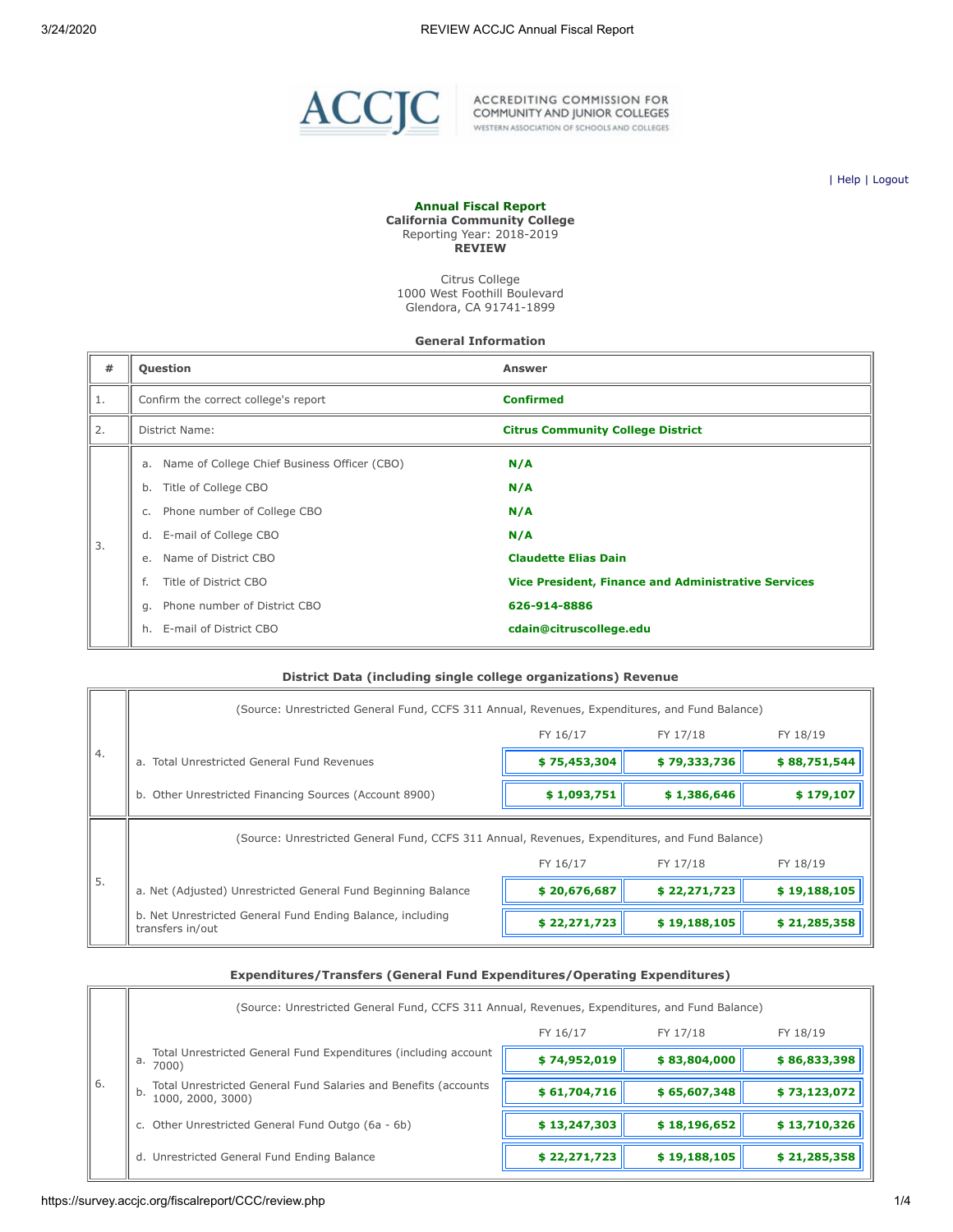

ACCREDITING COMMISSION FOR<br>COMMUNITY AND JUNIOR COLLEGES WESTERN ASSOCIATION OF SCHOOLS AND COLLEGES

| [Help](javascript:newPopup() | [Logout](https://survey.accjc.org/fiscalreport/CCC/logout.php)

#### **Annual Fiscal Report California Community College** Reporting Year: 2018-2019 **REVIEW**

Citrus College 1000 West Foothill Boulevard Glendora, CA 91741-1899

#### **General Information**

| #  | <b>Question</b>                                                                                                                                                                                                                                                                   | <b>Answer</b>                                                                                                                                                    |
|----|-----------------------------------------------------------------------------------------------------------------------------------------------------------------------------------------------------------------------------------------------------------------------------------|------------------------------------------------------------------------------------------------------------------------------------------------------------------|
| 1. | Confirm the correct college's report                                                                                                                                                                                                                                              | <b>Confirmed</b>                                                                                                                                                 |
| 2. | District Name:                                                                                                                                                                                                                                                                    | <b>Citrus Community College District</b>                                                                                                                         |
| 3. | a. Name of College Chief Business Officer (CBO)<br>Title of College CBO<br>b.<br>Phone number of College CBO<br>C.<br>d. E-mail of College CBO<br>Name of District CBO<br>e.<br>Title of District CBO<br>f.<br>Phone number of District CBO<br>g.<br>E-mail of District CBO<br>h. | N/A<br>N/A<br>N/A<br>N/A<br><b>Claudette Elias Dain</b><br><b>Vice President, Finance and Administrative Services</b><br>626-914-8886<br>cdain@citruscollege.edu |

### **District Data (including single college organizations) Revenue**

|    | (Source: Unrestricted General Fund, CCFS 311 Annual, Revenues, Expenditures, and Fund Balance) |              |              |              |  |
|----|------------------------------------------------------------------------------------------------|--------------|--------------|--------------|--|
|    |                                                                                                | FY 16/17     | FY 17/18     | FY 18/19     |  |
| 4. | a. Total Unrestricted General Fund Revenues                                                    | \$75,453,304 | \$79,333,736 | \$88,751,544 |  |
|    | b. Other Unrestricted Financing Sources (Account 8900)                                         | \$1,093,751  | \$1,386,646  | \$179,107    |  |
|    | (Source: Unrestricted General Fund, CCFS 311 Annual, Revenues, Expenditures, and Fund Balance) |              |              |              |  |
|    |                                                                                                | FY 16/17     | FY 17/18     | FY 18/19     |  |
| 5. | a. Net (Adjusted) Unrestricted General Fund Beginning Balance                                  | \$20,676,687 | \$22,271,723 | \$19,188,105 |  |
|    | b. Net Unrestricted General Fund Ending Balance, including<br>transfers in/out                 | \$22,271,723 | \$19,188,105 | \$21,285,358 |  |

# **Expenditures/Transfers (General Fund Expenditures/Operating Expenditures)**

|      | (Source: Unrestricted General Fund, CCFS 311 Annual, Revenues, Expenditures, and Fund Balance) |              |              |              |  |  |
|------|------------------------------------------------------------------------------------------------|--------------|--------------|--------------|--|--|
|      |                                                                                                | FY 16/17     | FY 17/18     | FY 18/19     |  |  |
|      | Total Unrestricted General Fund Expenditures (including account<br>a.<br>7000)                 | \$74,952,019 | \$83,804,000 | \$86,833,398 |  |  |
| - 6. | Total Unrestricted General Fund Salaries and Benefits (accounts<br>b.<br>1000, 2000, 3000)     | \$61,704,716 | \$65,607,348 | \$73,123,072 |  |  |
|      | c. Other Unrestricted General Fund Outgo (6a - 6b)                                             | \$13,247,303 | \$18,196,652 | \$13,710,326 |  |  |
|      | d. Unrestricted General Fund Ending Balance                                                    | \$22,271,723 | \$19,188,105 | \$21,285,358 |  |  |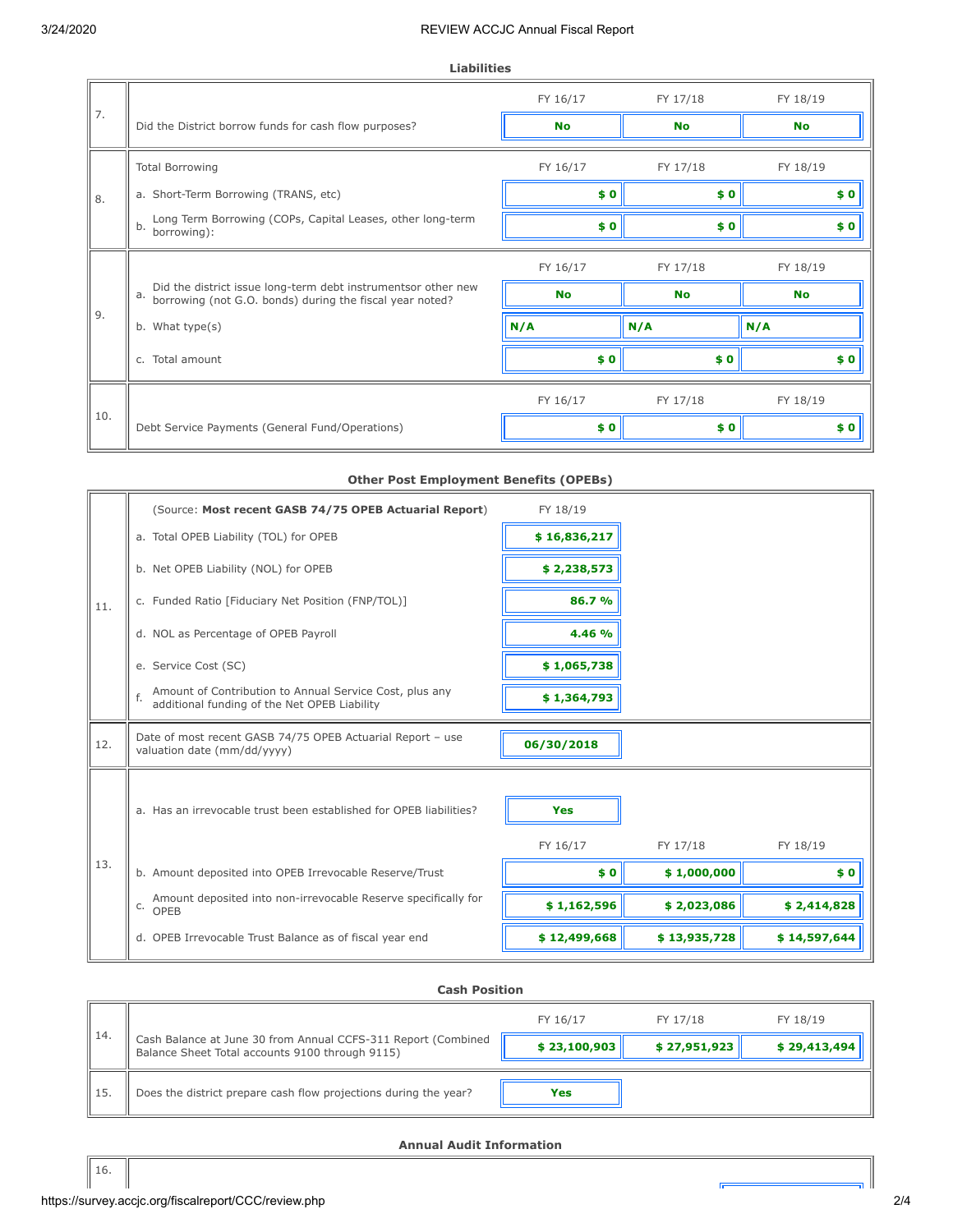|     |                                                                                                                                 | FY 16/17  | FY 17/18  | FY 18/19  |
|-----|---------------------------------------------------------------------------------------------------------------------------------|-----------|-----------|-----------|
| 7.  | Did the District borrow funds for cash flow purposes?                                                                           | <b>No</b> | <b>No</b> | <b>No</b> |
|     | <b>Total Borrowing</b>                                                                                                          | FY 16/17  | FY 17/18  | FY 18/19  |
| 8.  | a. Short-Term Borrowing (TRANS, etc)                                                                                            | \$0       | \$0       | \$0       |
|     | Long Term Borrowing (COPs, Capital Leases, other long-term<br>b.<br>borrowing):                                                 | \$0       | \$0       | \$0       |
|     |                                                                                                                                 | FY 16/17  | FY 17/18  | FY 18/19  |
|     | Did the district issue long-term debt instrumentsor other new<br>a.<br>borrowing (not G.O. bonds) during the fiscal year noted? | <b>No</b> | <b>No</b> | <b>No</b> |
| 9.  | b. What type(s)                                                                                                                 | N/A       | N/A       | N/A       |
|     | c. Total amount                                                                                                                 | \$0       | \$0       | \$0       |
|     |                                                                                                                                 | FY 16/17  | FY 17/18  | FY 18/19  |
| 10. | Debt Service Payments (General Fund/Operations)                                                                                 | \$0       | \$0       | \$0       |

# **Other Post Employment Benefits (OPEBs)**

|     | (Source: Most recent GASB 74/75 OPEB Actuarial Report)                                                        | FY 18/19               |              |              |
|-----|---------------------------------------------------------------------------------------------------------------|------------------------|--------------|--------------|
|     | a. Total OPEB Liability (TOL) for OPEB                                                                        | \$16,836,217           |              |              |
|     | b. Net OPEB Liability (NOL) for OPEB                                                                          | \$2,238,573            |              |              |
| 11. | c. Funded Ratio [Fiduciary Net Position (FNP/TOL)]                                                            | 86.7 %                 |              |              |
|     | d. NOL as Percentage of OPEB Payroll                                                                          | 4.46 %                 |              |              |
|     | e. Service Cost (SC)                                                                                          | \$1,065,738            |              |              |
|     | Amount of Contribution to Annual Service Cost, plus any<br>f.<br>additional funding of the Net OPEB Liability | \$1,364,793            |              |              |
| 12. | Date of most recent GASB 74/75 OPEB Actuarial Report - use<br>valuation date (mm/dd/yyyy)                     | 06/30/2018             |              |              |
|     | a. Has an irrevocable trust been established for OPEB liabilities?                                            | <b>Yes</b><br>FY 16/17 | FY 17/18     | FY 18/19     |
| 13. | b. Amount deposited into OPEB Irrevocable Reserve/Trust                                                       | \$0                    | \$1,000,000  | \$0          |
|     | Amount deposited into non-irrevocable Reserve specifically for<br>C.<br>OPEB                                  | \$1,162,596            | \$2,023,086  | \$2,414,828  |
|     | d. OPEB Irrevocable Trust Balance as of fiscal year end                                                       | \$12,499,668           | \$13,935,728 | \$14,597,644 |

### **Cash Position**

|      |                                                                                                                  | FY 16/17     | FY 17/18     | FY 18/19     |
|------|------------------------------------------------------------------------------------------------------------------|--------------|--------------|--------------|
| -14. | Cash Balance at June 30 from Annual CCFS-311 Report (Combined<br>Balance Sheet Total accounts 9100 through 9115) | \$23,100,903 | \$27,951,923 | \$29,413,494 |
| 15   | Does the district prepare cash flow projections during the year?                                                 | Yes          |              |              |

#### **Annual Audit Information**

51 I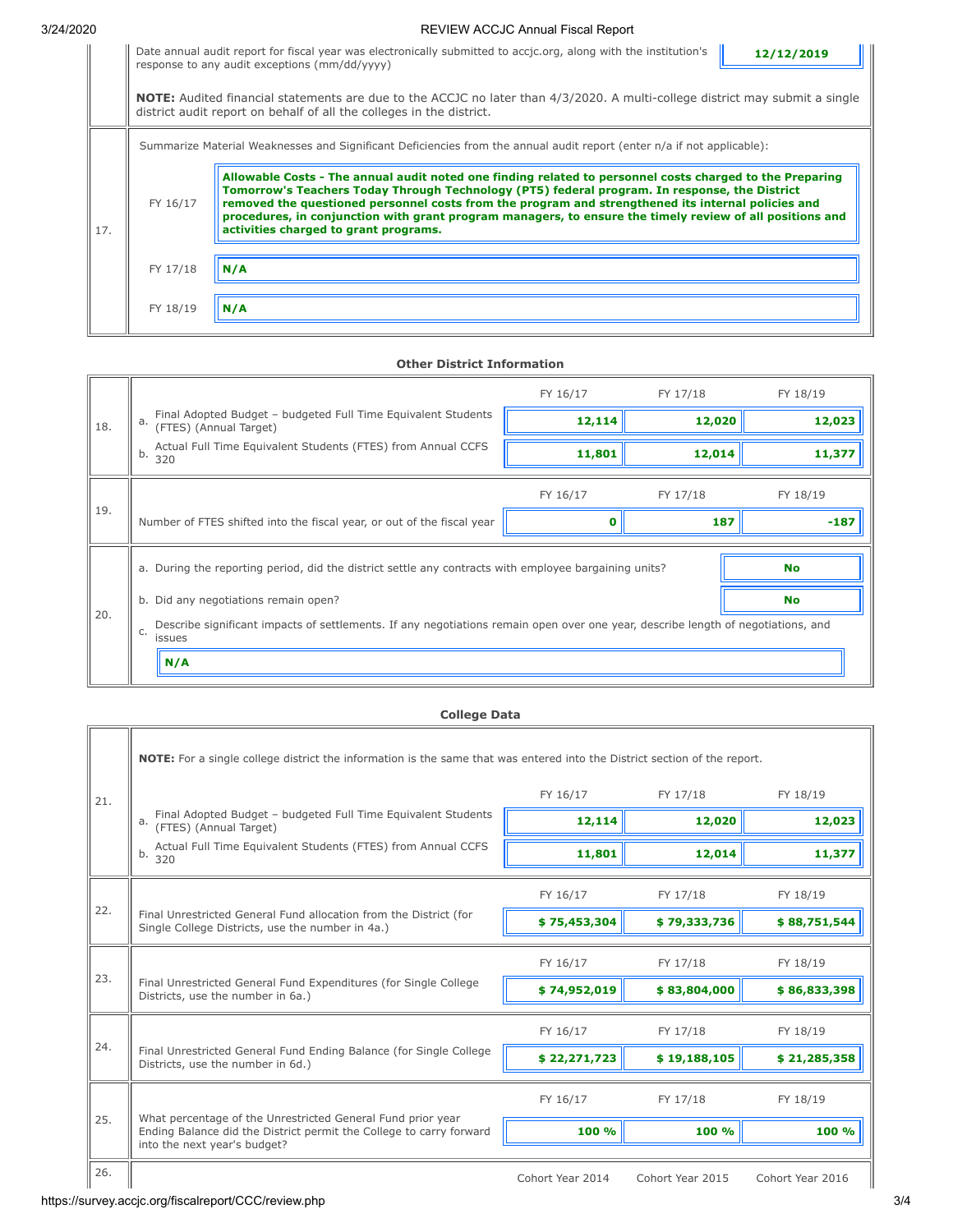# 3/24/2020 REVIEW ACCJC Annual Fiscal Report

| Date annual audit report for fiscal year was electronically submitted to accic.org, along with the institution's $\ $ | 12/12/2019 |
|-----------------------------------------------------------------------------------------------------------------------|------------|
| response to any audit exceptions (mm/dd/yyyy)                                                                         |            |
|                                                                                                                       |            |

**NOTE:** Audited financial statements are due to the ACCJC no later than 4/3/2020. A multi-college district may submit a single district audit report on behalf of all the colleges in the district. Summarize Material Weaknesses and Significant Deficiencies from the annual audit report (enter n/a if not applicable):

| 17. | FY 16/17 | Allowable Costs - The annual audit noted one finding related to personnel costs charged to the Preparing<br>Tomorrow's Teachers Today Through Technology (PT5) federal program. In response, the District<br>removed the questioned personnel costs from the program and strengthened its internal policies and<br>procedures, in conjunction with grant program managers, to ensure the timely review of all positions and<br>activities charged to grant programs. |  |
|-----|----------|----------------------------------------------------------------------------------------------------------------------------------------------------------------------------------------------------------------------------------------------------------------------------------------------------------------------------------------------------------------------------------------------------------------------------------------------------------------------|--|
|     | FY 17/18 | N/A                                                                                                                                                                                                                                                                                                                                                                                                                                                                  |  |
|     | FY 18/19 | N/A                                                                                                                                                                                                                                                                                                                                                                                                                                                                  |  |

#### **Other District Information**

|     |                                                                                                                                                  | FY 16/17 | FY 17/18 | FY 18/19  |  |  |
|-----|--------------------------------------------------------------------------------------------------------------------------------------------------|----------|----------|-----------|--|--|
| 18. | Final Adopted Budget - budgeted Full Time Equivalent Students<br>(FTES) (Annual Target)<br>a.                                                    | 12,114   | 12,020   | 12,023    |  |  |
|     | Actual Full Time Equivalent Students (FTES) from Annual CCFS<br>b.<br>320                                                                        | 11,801   | 12,014   | 11,377    |  |  |
|     |                                                                                                                                                  | FY 16/17 | FY 17/18 | FY 18/19  |  |  |
| 19. | Number of FTES shifted into the fiscal year, or out of the fiscal year                                                                           |          | 187      | $-187$    |  |  |
|     | a. During the reporting period, did the district settle any contracts with employee bargaining units?                                            |          |          | <b>No</b> |  |  |
|     | b. Did any negotiations remain open?<br>No                                                                                                       |          |          |           |  |  |
| 20. | Describe significant impacts of settlements. If any negotiations remain open over one year, describe length of negotiations, and<br>C.<br>issues |          |          |           |  |  |
|     | N/A                                                                                                                                              |          |          |           |  |  |

### **College Data**

|     | NOTE: For a single college district the information is the same that was entered into the District section of the report.                                          |                  |                  |                  |
|-----|--------------------------------------------------------------------------------------------------------------------------------------------------------------------|------------------|------------------|------------------|
| 21. |                                                                                                                                                                    | FY 16/17         | FY 17/18         | FY 18/19         |
|     | Final Adopted Budget - budgeted Full Time Equivalent Students<br>a.<br>(FTES) (Annual Target)                                                                      | 12,114           | 12,020           | 12,023           |
|     | Actual Full Time Equivalent Students (FTES) from Annual CCFS<br>b.<br>320                                                                                          | 11,801           | 12,014           | 11,377           |
|     |                                                                                                                                                                    | FY 16/17         | FY 17/18         | FY 18/19         |
| 22. | Final Unrestricted General Fund allocation from the District (for<br>Single College Districts, use the number in 4a.)                                              | \$75,453,304     | \$79,333,736     | \$88,751,544     |
|     |                                                                                                                                                                    | FY 16/17         | FY 17/18         | FY 18/19         |
| 23. | Final Unrestricted General Fund Expenditures (for Single College<br>Districts, use the number in 6a.)                                                              | \$74,952,019     | \$83,804,000     | \$86,833,398     |
| 24. |                                                                                                                                                                    | FY 16/17         | FY 17/18         | FY 18/19         |
|     | Final Unrestricted General Fund Ending Balance (for Single College<br>Districts, use the number in 6d.)                                                            | \$22,271,723     | \$19,188,105     | \$21,285,358     |
|     |                                                                                                                                                                    | FY 16/17         | FY 17/18         | FY 18/19         |
| 25. | What percentage of the Unrestricted General Fund prior year<br>Ending Balance did the District permit the College to carry forward<br>into the next year's budget? | 100 %            | 100 %            | 100 %            |
| 26. |                                                                                                                                                                    | Cohort Year 2014 | Cohort Year 2015 | Cohort Year 2016 |

# https://survey.accjc.org/fiscalreport/CCC/review.php 3/4

╦